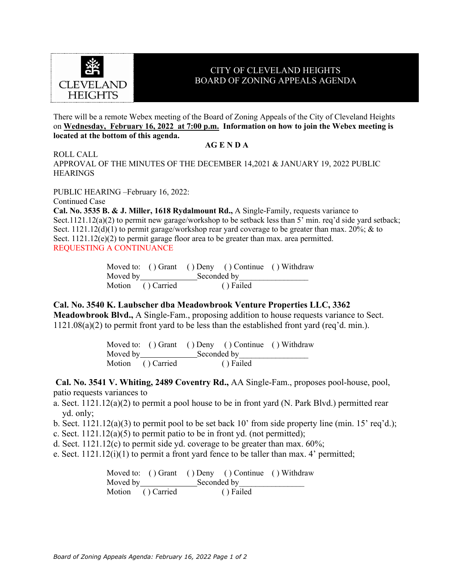

## CITY OF CLEVELAND HEIGHTS BOARD OF ZONING APPEALS AGENDA

There will be a remote Webex meeting of the Board of Zoning Appeals of the City of Cleveland Heights on **Wednesday, February 16, 2022 at 7:00 p.m. Information on how to join the Webex meeting is located at the bottom of this agenda.**

## **AG E N D A**

ROLL CALL

APPROVAL OF THE MINUTES OF THE DECEMBER 14,2021 & JANUARY 19, 2022 PUBLIC **HEARINGS** 

PUBLIC HEARING –February 16, 2022:

Continued Case

**Cal. No. 3535 B. & J. Miller, 1618 Rydalmount Rd.,** A Single-Family, requests variance to Sect.1121.12(a)(2) to permit new garage/workshop to be setback less than 5' min. req'd side yard setback; Sect.  $1121.12(d)(1)$  to permit garage/workshop rear yard coverage to be greater than max. 20%; & to Sect.  $1121.12(e)(2)$  to permit garage floor area to be greater than max. area permitted. REQUESTING A CONTINUANCE

|                   |                                       |  | Moved to: () Grant () Deny () Continue () Withdraw |  |
|-------------------|---------------------------------------|--|----------------------------------------------------|--|
|                   | Moved by $\sqrt{2\pi}$<br>Seconded by |  |                                                    |  |
| Motion () Carried |                                       |  | ( ) Failed                                         |  |

## **Cal. No. 3540 K. Laubscher dba Meadowbrook Venture Properties LLC, 3362**

**Meadowbrook Blvd.,** A Single-Fam., proposing addition to house requests variance to Sect. 1121.08(a)(2) to permit front yard to be less than the established front yard (req'd. min.).

> Moved to: ( ) Grant ( ) Deny ( ) Continue ( ) Withdraw Moved by Seconded by Motion ( ) Carried ( ) Failed

**Cal. No. 3541 V. Whiting, 2489 Coventry Rd.,** AA Single-Fam., proposes pool-house, pool, patio requests variances to

- a. Sect. 1121.12(a)(2) to permit a pool house to be in front yard (N. Park Blvd.) permitted rear yd. only;
- b. Sect. 1121.12(a)(3) to permit pool to be set back 10' from side property line (min. 15' req'd.);
- c. Sect.  $1121.12(a)(5)$  to permit patio to be in front yd. (not permitted);
- d. Sect.  $1121.12(c)$  to permit side yd. coverage to be greater than max.  $60\%$ ;
- e. Sect.  $1121.12(i)(1)$  to permit a front yard fence to be taller than max. 4' permitted;

Moved to: ( ) Grant ( ) Deny ( ) Continue ( ) Withdraw Moved by Seconded by Motion ( ) Carried ( ) Failed